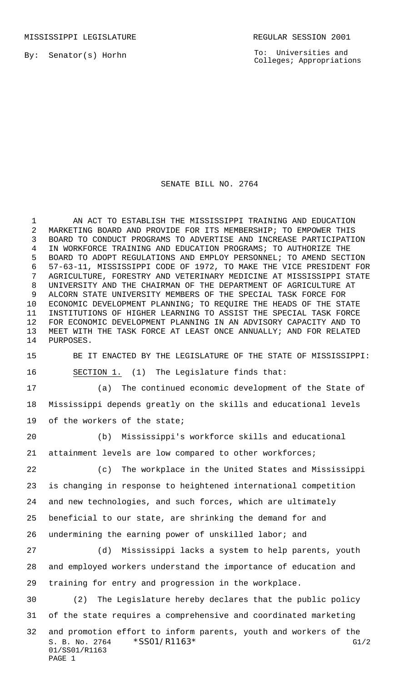By: Senator(s) Horhn

To: Universities and Colleges; Appropriations

## SENATE BILL NO. 2764

 AN ACT TO ESTABLISH THE MISSISSIPPI TRAINING AND EDUCATION MARKETING BOARD AND PROVIDE FOR ITS MEMBERSHIP; TO EMPOWER THIS BOARD TO CONDUCT PROGRAMS TO ADVERTISE AND INCREASE PARTICIPATION IN WORKFORCE TRAINING AND EDUCATION PROGRAMS; TO AUTHORIZE THE BOARD TO ADOPT REGULATIONS AND EMPLOY PERSONNEL; TO AMEND SECTION 57-63-11, MISSISSIPPI CODE OF 1972, TO MAKE THE VICE PRESIDENT FOR AGRICULTURE, FORESTRY AND VETERINARY MEDICINE AT MISSISSIPPI STATE UNIVERSITY AND THE CHAIRMAN OF THE DEPARTMENT OF AGRICULTURE AT ALCORN STATE UNIVERSITY MEMBERS OF THE SPECIAL TASK FORCE FOR ECONOMIC DEVELOPMENT PLANNING; TO REQUIRE THE HEADS OF THE STATE INSTITUTIONS OF HIGHER LEARNING TO ASSIST THE SPECIAL TASK FORCE FOR ECONOMIC DEVELOPMENT PLANNING IN AN ADVISORY CAPACITY AND TO MEET WITH THE TASK FORCE AT LEAST ONCE ANNUALLY; AND FOR RELATED PURPOSES.

 BE IT ENACTED BY THE LEGISLATURE OF THE STATE OF MISSISSIPPI: SECTION 1. (1) The Legislature finds that:

 (a) The continued economic development of the State of Mississippi depends greatly on the skills and educational levels of the workers of the state;

 (b) Mississippi's workforce skills and educational attainment levels are low compared to other workforces;

 (c) The workplace in the United States and Mississippi is changing in response to heightened international competition and new technologies, and such forces, which are ultimately beneficial to our state, are shrinking the demand for and undermining the earning power of unskilled labor; and

 (d) Mississippi lacks a system to help parents, youth and employed workers understand the importance of education and training for entry and progression in the workplace.

 (2) The Legislature hereby declares that the public policy of the state requires a comprehensive and coordinated marketing

S. B. No. 2764 \* SSO1/R1163\* G1/2 01/SS01/R1163 PAGE 1 and promotion effort to inform parents, youth and workers of the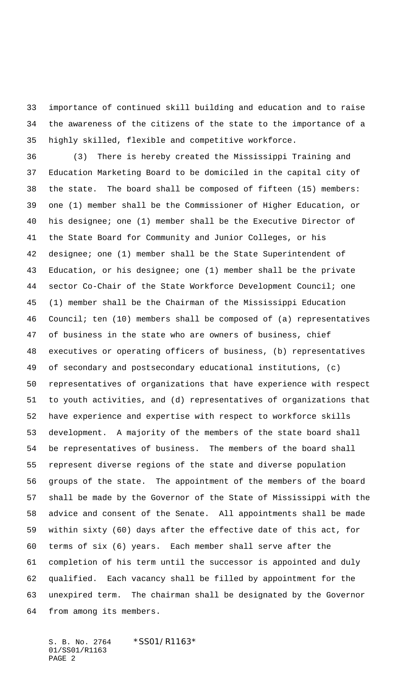importance of continued skill building and education and to raise the awareness of the citizens of the state to the importance of a highly skilled, flexible and competitive workforce.

 (3) There is hereby created the Mississippi Training and Education Marketing Board to be domiciled in the capital city of the state. The board shall be composed of fifteen (15) members: one (1) member shall be the Commissioner of Higher Education, or his designee; one (1) member shall be the Executive Director of the State Board for Community and Junior Colleges, or his designee; one (1) member shall be the State Superintendent of Education, or his designee; one (1) member shall be the private sector Co-Chair of the State Workforce Development Council; one (1) member shall be the Chairman of the Mississippi Education Council; ten (10) members shall be composed of (a) representatives of business in the state who are owners of business, chief executives or operating officers of business, (b) representatives of secondary and postsecondary educational institutions, (c) representatives of organizations that have experience with respect to youth activities, and (d) representatives of organizations that have experience and expertise with respect to workforce skills development. A majority of the members of the state board shall be representatives of business. The members of the board shall represent diverse regions of the state and diverse population groups of the state. The appointment of the members of the board shall be made by the Governor of the State of Mississippi with the advice and consent of the Senate. All appointments shall be made within sixty (60) days after the effective date of this act, for terms of six (6) years. Each member shall serve after the completion of his term until the successor is appointed and duly qualified. Each vacancy shall be filled by appointment for the unexpired term. The chairman shall be designated by the Governor from among its members.

S. B. No. 2764 \*SS01/R1163\* 01/SS01/R1163 PAGE 2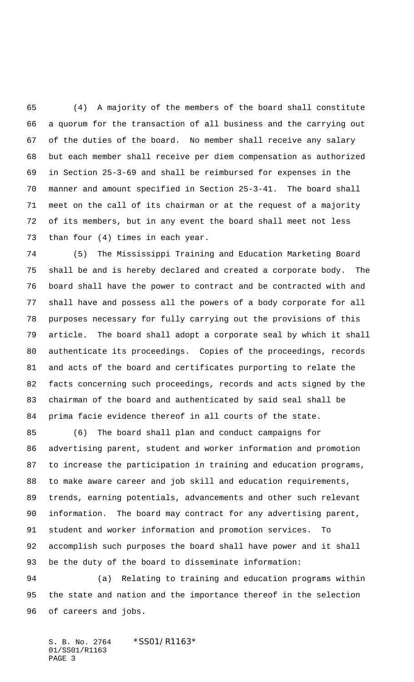(4) A majority of the members of the board shall constitute a quorum for the transaction of all business and the carrying out of the duties of the board. No member shall receive any salary but each member shall receive per diem compensation as authorized in Section 25-3-69 and shall be reimbursed for expenses in the manner and amount specified in Section 25-3-41. The board shall meet on the call of its chairman or at the request of a majority of its members, but in any event the board shall meet not less than four (4) times in each year.

 (5) The Mississippi Training and Education Marketing Board shall be and is hereby declared and created a corporate body. The board shall have the power to contract and be contracted with and shall have and possess all the powers of a body corporate for all purposes necessary for fully carrying out the provisions of this article. The board shall adopt a corporate seal by which it shall authenticate its proceedings. Copies of the proceedings, records and acts of the board and certificates purporting to relate the facts concerning such proceedings, records and acts signed by the chairman of the board and authenticated by said seal shall be prima facie evidence thereof in all courts of the state.

 (6) The board shall plan and conduct campaigns for advertising parent, student and worker information and promotion to increase the participation in training and education programs, to make aware career and job skill and education requirements, trends, earning potentials, advancements and other such relevant information. The board may contract for any advertising parent, student and worker information and promotion services. To accomplish such purposes the board shall have power and it shall be the duty of the board to disseminate information:

 (a) Relating to training and education programs within the state and nation and the importance thereof in the selection of careers and jobs.

S. B. No. 2764 \* SS01/R1163\* 01/SS01/R1163 PAGE 3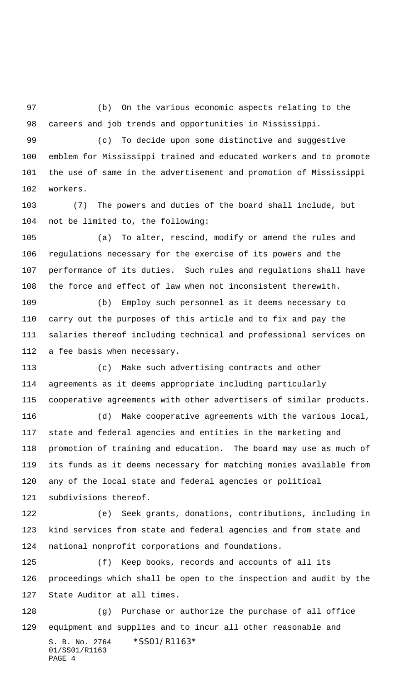(b) On the various economic aspects relating to the careers and job trends and opportunities in Mississippi.

 (c) To decide upon some distinctive and suggestive emblem for Mississippi trained and educated workers and to promote the use of same in the advertisement and promotion of Mississippi

workers.

 (7) The powers and duties of the board shall include, but not be limited to, the following:

 (a) To alter, rescind, modify or amend the rules and regulations necessary for the exercise of its powers and the performance of its duties. Such rules and regulations shall have the force and effect of law when not inconsistent therewith.

 (b) Employ such personnel as it deems necessary to carry out the purposes of this article and to fix and pay the salaries thereof including technical and professional services on a fee basis when necessary.

 (c) Make such advertising contracts and other agreements as it deems appropriate including particularly cooperative agreements with other advertisers of similar products.

 (d) Make cooperative agreements with the various local, state and federal agencies and entities in the marketing and promotion of training and education. The board may use as much of its funds as it deems necessary for matching monies available from any of the local state and federal agencies or political subdivisions thereof.

 (e) Seek grants, donations, contributions, including in kind services from state and federal agencies and from state and national nonprofit corporations and foundations.

 (f) Keep books, records and accounts of all its proceedings which shall be open to the inspection and audit by the State Auditor at all times.

S. B. No. 2764 \*SS01/R1163\* 01/SS01/R1163 PAGE 4 (g) Purchase or authorize the purchase of all office equipment and supplies and to incur all other reasonable and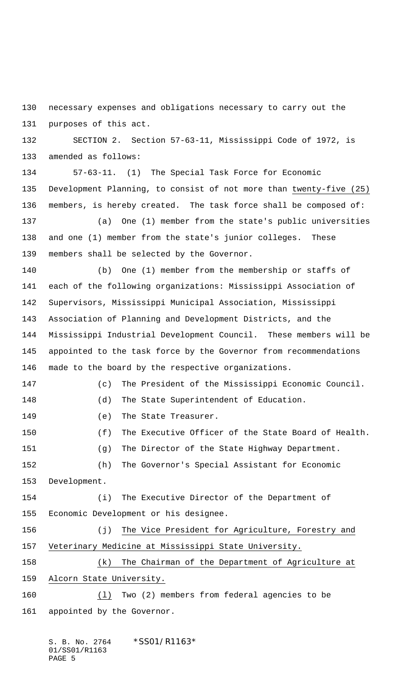necessary expenses and obligations necessary to carry out the purposes of this act.

 SECTION 2. Section 57-63-11, Mississippi Code of 1972, is amended as follows:

 57-63-11. (1) The Special Task Force for Economic Development Planning, to consist of not more than twenty-five (25) members, is hereby created. The task force shall be composed of:

 (a) One (1) member from the state's public universities and one (1) member from the state's junior colleges. These members shall be selected by the Governor.

 (b) One (1) member from the membership or staffs of each of the following organizations: Mississippi Association of Supervisors, Mississippi Municipal Association, Mississippi Association of Planning and Development Districts, and the Mississippi Industrial Development Council. These members will be appointed to the task force by the Governor from recommendations made to the board by the respective organizations.

 (c) The President of the Mississippi Economic Council. (d) The State Superintendent of Education. 149 (e) The State Treasurer. (f) The Executive Officer of the State Board of Health. (g) The Director of the State Highway Department. (h) The Governor's Special Assistant for Economic

 (i) The Executive Director of the Department of Economic Development or his designee.

 (j) The Vice President for Agriculture, Forestry and Veterinary Medicine at Mississippi State University.

 (k) The Chairman of the Department of Agriculture at Alcorn State University.

 (l) Two (2) members from federal agencies to be appointed by the Governor.

Development.